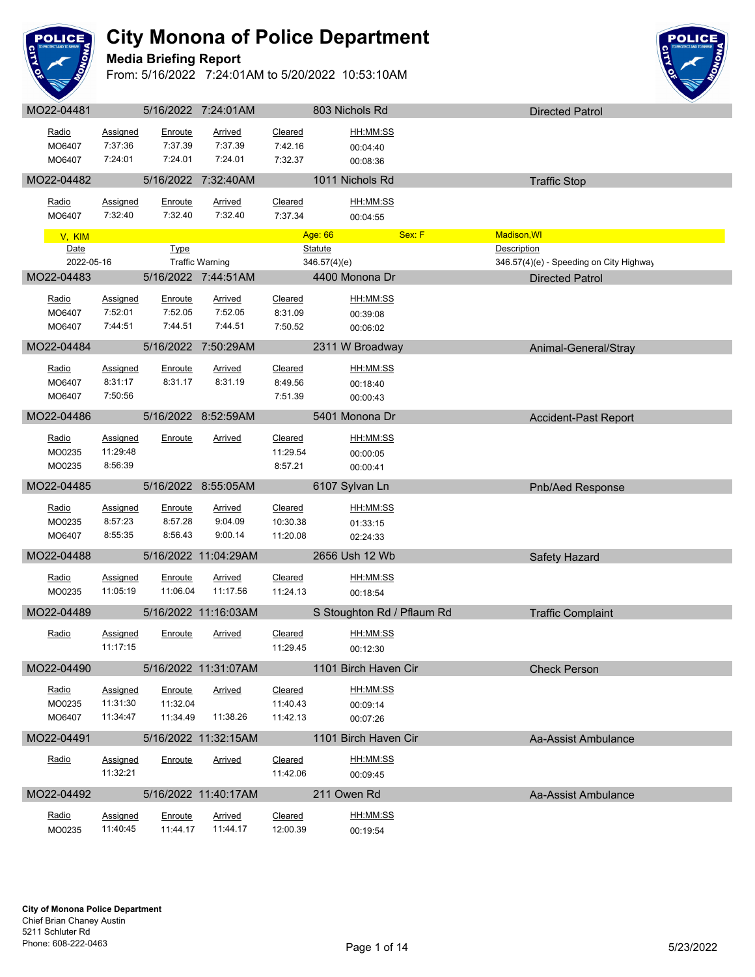

## **Media Briefing Report**



| Radio            | Assigned             | Enroute              | <b>Arrived</b>         | Cleared              | HH:MM:SS                   |        |                                         |  |
|------------------|----------------------|----------------------|------------------------|----------------------|----------------------------|--------|-----------------------------------------|--|
| MO6407           | 7:37:36              | 7:37.39              | 7:37.39                | 7:42.16              | 00:04:40                   |        |                                         |  |
| MO6407           | 7:24:01              | 7:24.01              | 7:24.01                | 7:32.37              | 00:08:36                   |        |                                         |  |
| MO22-04482       |                      |                      | 5/16/2022 7:32:40AM    |                      | 1011 Nichols Rd            |        | <b>Traffic Stop</b>                     |  |
| Radio            | Assigned             | Enroute              | <b>Arrived</b>         | Cleared              | HH:MM:SS                   |        |                                         |  |
| MO6407           | 7:32:40              | 7:32.40              | 7:32.40                | 7:37.34              | 00:04:55                   |        |                                         |  |
| V, KIM           |                      |                      |                        |                      | Age: 66                    | Sex: F | Madison, WI                             |  |
| Date             |                      | <b>Type</b>          |                        |                      | <b>Statute</b>             |        | Description                             |  |
| 2022-05-16       |                      |                      | <b>Traffic Warning</b> |                      | 346.57(4)(e)               |        | 346.57(4)(e) - Speeding on City Highway |  |
| MO22-04483       |                      |                      | 5/16/2022 7:44:51AM    |                      | 4400 Monona Dr             |        | <b>Directed Patrol</b>                  |  |
| Radio            | <b>Assigned</b>      | Enroute              | <b>Arrived</b>         | Cleared              | HH:MM:SS                   |        |                                         |  |
| MO6407           | 7:52:01              | 7:52.05              | 7:52.05                | 8:31.09              | 00:39:08                   |        |                                         |  |
| MO6407           | 7:44:51              | 7:44.51              | 7:44.51                | 7:50.52              | 00:06:02                   |        |                                         |  |
| MO22-04484       |                      |                      | 5/16/2022 7:50:29AM    |                      | 2311 W Broadway            |        | Animal-General/Stray                    |  |
| Radio            | Assigned             | <b>Enroute</b>       | <b>Arrived</b>         | Cleared              | <u>HH:MM:SS</u>            |        |                                         |  |
| MO6407           | 8:31:17              | 8:31.17              | 8:31.19                | 8:49.56              | 00:18:40                   |        |                                         |  |
| MO6407           | 7:50:56              |                      |                        | 7:51.39              | 00:00:43                   |        |                                         |  |
| MO22-04486       |                      |                      | 5/16/2022 8:52:59AM    |                      | 5401 Monona Dr             |        | <b>Accident-Past Report</b>             |  |
| Radio            | Assigned             | Enroute              | <u>Arrived</u>         | Cleared              | HH:MM:SS                   |        |                                         |  |
| MO0235           | 11:29:48             |                      |                        | 11:29.54             | 00:00:05                   |        |                                         |  |
| MO0235           | 8:56:39              |                      |                        | 8:57.21              | 00:00:41                   |        |                                         |  |
| MO22-04485       |                      |                      | 5/16/2022 8:55:05AM    |                      | 6107 Sylvan Ln             |        | Pnb/Aed Response                        |  |
| Radio            | <b>Assigned</b>      | Enroute              | <b>Arrived</b>         | Cleared              | HH:MM:SS                   |        |                                         |  |
| MO0235           | 8:57:23              | 8:57.28              | 9:04.09                | 10:30.38             | 01:33:15                   |        |                                         |  |
| MO6407           | 8:55:35              | 8:56.43              | 9:00.14                | 11:20.08             | 02:24:33                   |        |                                         |  |
| MO22-04488       |                      |                      | 5/16/2022 11:04:29AM   |                      | 2656 Ush 12 Wb             |        | Safety Hazard                           |  |
| Radio            | <b>Assigned</b>      | Enroute              | Arrived                | Cleared              | HH:MM:SS                   |        |                                         |  |
| MO0235           | 11:05:19             | 11:06.04             | 11:17.56               | 11:24.13             | 00:18:54                   |        |                                         |  |
| MO22-04489       |                      |                      | 5/16/2022 11:16:03AM   |                      | S Stoughton Rd / Pflaum Rd |        | <b>Traffic Complaint</b>                |  |
| Radio            | <b>Assigned</b>      | Enroute              |                        | Cleared              | HH:MM:SS                   |        |                                         |  |
|                  | 11:17:15             |                      | <b>Arrived</b>         | 11:29.45             | 00:12:30                   |        |                                         |  |
| MO22-04490       |                      |                      | 5/16/2022 11:31:07AM   |                      | 1101 Birch Haven Cir       |        |                                         |  |
|                  |                      |                      |                        |                      |                            |        | <b>Check Person</b>                     |  |
| Radio            | Assigned             | Enroute              | Arrived                | Cleared              | HH:MM:SS                   |        |                                         |  |
| MO0235<br>MO6407 | 11:31:30<br>11:34:47 | 11:32.04<br>11:34.49 | 11:38.26               | 11:40.43<br>11:42.13 | 00:09:14<br>00:07:26       |        |                                         |  |
|                  |                      |                      |                        |                      |                            |        |                                         |  |
| MO22-04491       |                      |                      | 5/16/2022 11:32:15AM   |                      | 1101 Birch Haven Cir       |        | Aa-Assist Ambulance                     |  |
| Radio            | <b>Assigned</b>      | Enroute              | Arrived                | Cleared              | HH:MM:SS                   |        |                                         |  |
|                  | 11:32:21             |                      |                        | 11:42.06             | 00:09:45                   |        |                                         |  |
| MO22-04492       |                      |                      | 5/16/2022 11:40:17AM   |                      | 211 Owen Rd                |        | Aa-Assist Ambulance                     |  |
| <u>Radio</u>     | Assigned             | Enroute              | <b>Arrived</b>         | Cleared              | HH:MM:SS                   |        |                                         |  |
| MO0235           | 11:40:45             | 11:44.17             | 11:44.17               | 12:00.39             | 00:19:54                   |        |                                         |  |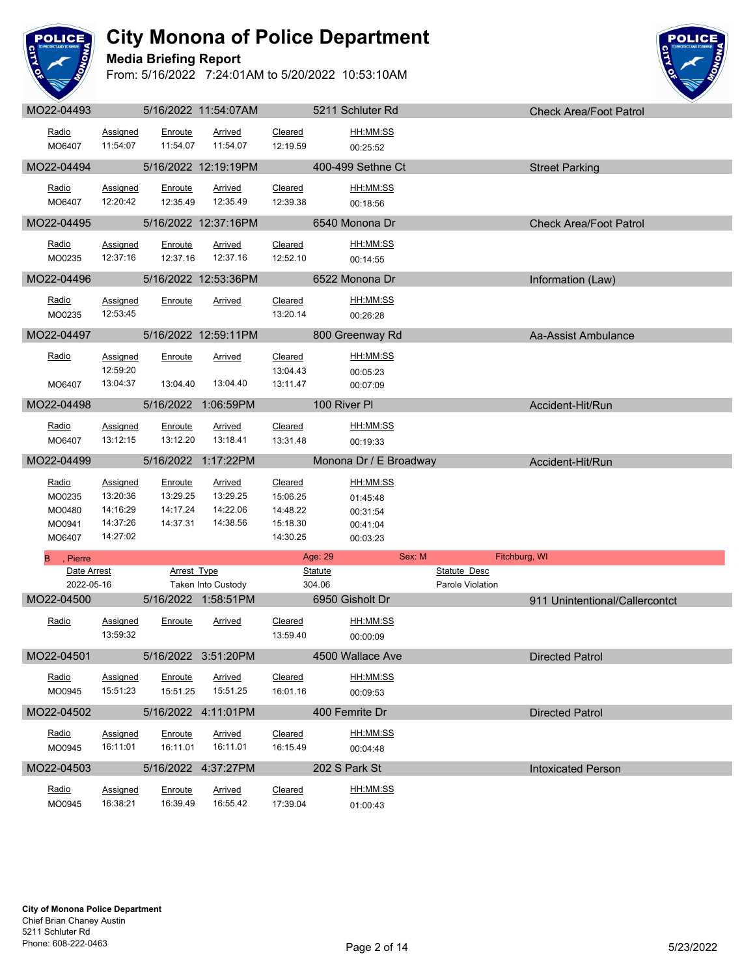

## **Media Briefing Report**



| Radio           | <b>Assigned</b>             | Enroute             | Arrived              | Cleared             | HH:MM:SS               |                     |                                |
|-----------------|-----------------------------|---------------------|----------------------|---------------------|------------------------|---------------------|--------------------------------|
| MO6407          | 11:54:07                    | 11:54.07            | 11:54.07             | 12:19.59            | 00:25:52               |                     |                                |
| MO22-04494      |                             |                     | 5/16/2022 12:19:19PM |                     | 400-499 Sethne Ct      |                     | <b>Street Parking</b>          |
| Radio           | <b>Assigned</b>             | Enroute             | Arrived              | Cleared             | HH:MM:SS               |                     |                                |
| MO6407          | 12:20:42                    | 12:35.49            | 12:35.49             | 12:39.38            | 00:18:56               |                     |                                |
| MO22-04495      |                             |                     | 5/16/2022 12:37:16PM |                     | 6540 Monona Dr         |                     | <b>Check Area/Foot Patrol</b>  |
| Radio           | Assigned                    | Enroute             | <b>Arrived</b>       | Cleared             | HH:MM:SS               |                     |                                |
| MO0235          | 12:37:16                    | 12:37.16            | 12:37.16             | 12:52.10            | 00:14:55               |                     |                                |
| MO22-04496      |                             |                     | 5/16/2022 12:53:36PM |                     | 6522 Monona Dr         |                     | Information (Law)              |
| Radio           | Assigned                    | Enroute             | Arrived              | Cleared             | HH:MM:SS               |                     |                                |
| MO0235          | 12:53:45                    |                     |                      | 13:20.14            | 00:26:28               |                     |                                |
| MO22-04497      |                             |                     | 5/16/2022 12:59:11PM |                     | 800 Greenway Rd        |                     | Aa-Assist Ambulance            |
| Radio           |                             |                     |                      |                     | HH:MM:SS               |                     |                                |
|                 | <b>Assigned</b><br>12:59:20 | Enroute             | <b>Arrived</b>       | Cleared<br>13:04.43 | 00:05:23               |                     |                                |
| MO6407          | 13:04:37                    | 13:04.40            | 13:04.40             | 13:11.47            | 00:07:09               |                     |                                |
| MO22-04498      |                             |                     | 5/16/2022 1:06:59PM  |                     | 100 River PI           |                     | Accident-Hit/Run               |
| Radio           | Assigned                    | Enroute             | Arrived              | Cleared             | HH:MM:SS               |                     |                                |
| MO6407          | 13:12:15                    | 13:12.20            | 13:18.41             | 13:31.48            | 00:19:33               |                     |                                |
| MO22-04499      |                             |                     | 5/16/2022 1:17:22PM  |                     | Monona Dr / E Broadway |                     | Accident-Hit/Run               |
|                 |                             |                     |                      |                     |                        |                     |                                |
| Radio<br>MO0235 | <b>Assigned</b><br>13:20:36 | Enroute<br>13:29.25 | Arrived<br>13:29.25  | Cleared<br>15:06.25 | HH:MM:SS<br>01:45:48   |                     |                                |
| MO0480          | 14:16:29                    | 14:17.24            | 14:22.06             | 14:48.22            | 00:31:54               |                     |                                |
| MO0941          | 14:37:26                    | 14:37.31            | 14:38.56             | 15:18.30            | 00:41:04               |                     |                                |
| MO6407          | 14:27:02                    |                     |                      | 14:30.25            | 00:03:23               |                     |                                |
|                 |                             |                     |                      |                     |                        |                     |                                |
| , Pierre        |                             |                     |                      |                     | Age: 29<br>Sex: M      | Fitchburg, WI       |                                |
| Date Arrest     |                             | <b>Arrest Type</b>  |                      |                     | <b>Statute</b>         | <b>Statute Desc</b> |                                |
| 2022-05-16      |                             |                     | Taken Into Custody   |                     | 304.06                 | Parole Violation    |                                |
| MO22-04500      |                             |                     | 5/16/2022 1:58:51PM  |                     | 6950 Gisholt Dr        |                     | 911 Unintentional/Callercontct |
| Radio           | Assigned                    | Enroute             | <b>Arrived</b>       | Cleared             | HH:MM:SS               |                     |                                |
|                 | 13:59:32                    |                     |                      | 13:59.40            | 00:00:09               |                     |                                |
| MO22-04501      |                             |                     | 5/16/2022 3:51:20PM  |                     | 4500 Wallace Ave       |                     | <b>Directed Patrol</b>         |
| Radio           | Assigned                    | Enroute             | <b>Arrived</b>       | <b>Cleared</b>      | HH:MM:SS               |                     |                                |
| MO0945          | 15:51:23                    | 15:51.25            | 15:51.25             | 16:01.16            | 00:09:53               |                     |                                |
| MO22-04502      |                             |                     | 5/16/2022 4:11:01PM  |                     | 400 Femrite Dr         |                     | <b>Directed Patrol</b>         |
| Radio           | <b>Assigned</b>             | Enroute             | <b>Arrived</b>       | Cleared             | HH:MM:SS               |                     |                                |
| MO0945          | 16:11:01                    | 16:11.01            | 16:11.01             | 16:15.49            | 00:04:48               |                     |                                |
| MO22-04503      |                             |                     | 5/16/2022 4:37:27PM  |                     | 202 S Park St          |                     | <b>Intoxicated Person</b>      |
| Radio           | Assigned                    | Enroute             | <b>Arrived</b>       | Cleared             | HH:MM:SS               |                     |                                |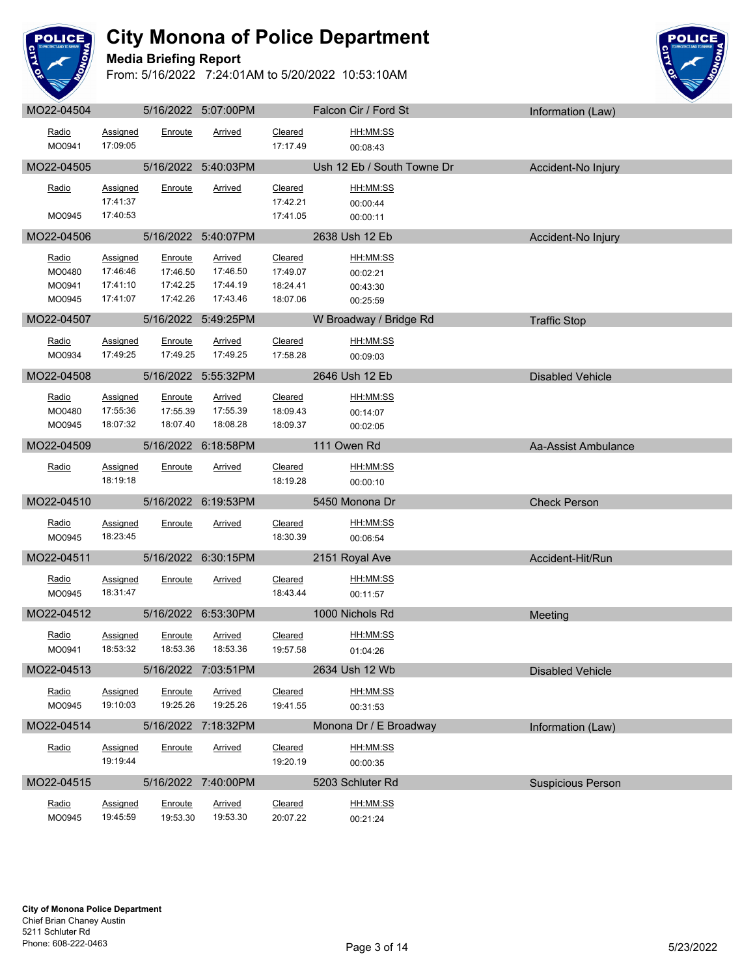

**Media Briefing Report**



| MO22-04504 |                             |          | 5/16/2022 5:07:00PM |                     | Falcon Cir / Ford St       | Information (Law)        |
|------------|-----------------------------|----------|---------------------|---------------------|----------------------------|--------------------------|
| Radio      | Assigned                    | Enroute  | Arrived             | Cleared             | <u>HH:MM:SS</u>            |                          |
| MO0941     | 17:09:05                    |          |                     | 17:17.49            | 00:08:43                   |                          |
| MO22-04505 |                             |          | 5/16/2022 5:40:03PM |                     | Ush 12 Eb / South Towne Dr | Accident-No Injury       |
| Radio      | Assigned                    | Enroute  | Arrived             | Cleared             | HH:MM:SS                   |                          |
|            | 17:41:37                    |          |                     | 17:42.21            | 00:00:44                   |                          |
| MO0945     | 17:40:53                    |          |                     | 17:41.05            | 00:00:11                   |                          |
| MO22-04506 |                             |          | 5/16/2022 5:40:07PM |                     | 2638 Ush 12 Eb             | Accident-No Injury       |
| Radio      | Assigned                    | Enroute  | Arrived             | Cleared             | HH:MM:SS                   |                          |
| MO0480     | 17:46:46                    | 17:46.50 | 17:46.50            | 17:49.07            | 00:02:21                   |                          |
| MO0941     | 17:41:10                    | 17:42.25 | 17:44.19            | 18:24.41            | 00:43:30                   |                          |
| MO0945     | 17:41:07                    | 17:42.26 | 17:43.46            | 18:07.06            | 00:25:59                   |                          |
| MO22-04507 |                             |          | 5/16/2022 5:49:25PM |                     | W Broadway / Bridge Rd     | <b>Traffic Stop</b>      |
| Radio      | <b>Assigned</b>             | Enroute  | <b>Arrived</b>      | Cleared             | <u>HH:MM:SS</u>            |                          |
| MO0934     | 17:49:25                    | 17:49.25 | 17:49.25            | 17:58.28            | 00:09:03                   |                          |
| MO22-04508 |                             |          | 5/16/2022 5:55:32PM |                     | 2646 Ush 12 Eb             | <b>Disabled Vehicle</b>  |
| Radio      | <b>Assigned</b>             | Enroute  | <b>Arrived</b>      | Cleared             | HH:MM:SS                   |                          |
| MO0480     | 17:55:36                    | 17:55.39 | 17:55.39            | 18:09.43            | 00:14:07                   |                          |
| MO0945     | 18:07:32                    | 18:07.40 | 18:08.28            | 18:09.37            | 00:02:05                   |                          |
| MO22-04509 |                             |          | 5/16/2022 6:18:58PM |                     | 111 Owen Rd                | Aa-Assist Ambulance      |
| Radio      | Assigned                    | Enroute  | <b>Arrived</b>      | Cleared             | HH:MM:SS                   |                          |
|            | 18:19:18                    |          |                     | 18:19.28            | 00:00:10                   |                          |
| MO22-04510 |                             |          | 5/16/2022 6:19:53PM |                     | 5450 Monona Dr             | <b>Check Person</b>      |
| Radio      |                             |          |                     |                     | HH:MM:SS                   |                          |
| MO0945     | <b>Assigned</b><br>18:23:45 | Enroute  | Arrived             | Cleared<br>18:30.39 | 00:06:54                   |                          |
| MO22-04511 |                             |          | 5/16/2022 6:30:15PM |                     | 2151 Royal Ave             |                          |
|            |                             |          |                     |                     |                            | Accident-Hit/Run         |
| Radio      | Assigned                    | Enroute  | <b>Arrived</b>      | Cleared             | HH:MM:SS                   |                          |
| MO0945     | 18:31:47                    |          |                     | 18:43.44            | 00:11:57                   |                          |
| MO22-04512 |                             |          | 5/16/2022 6:53:30PM |                     | 1000 Nichols Rd            | Meeting                  |
| Radio      | Assigned                    | Enroute  | Arrived             | Cleared             | <u>HH:MM:SS</u>            |                          |
| MO0941     | 18:53:32                    | 18:53.36 | 18:53.36            | 19:57.58            | 01:04:26                   |                          |
| MO22-04513 |                             |          | 5/16/2022 7:03:51PM |                     | 2634 Ush 12 Wb             | <b>Disabled Vehicle</b>  |
| Radio      | Assigned                    | Enroute  | Arrived             | Cleared             | HH:MM:SS                   |                          |
| MO0945     | 19:10:03                    | 19:25.26 | 19:25.26            | 19:41.55            | 00:31:53                   |                          |
| MO22-04514 |                             |          | 5/16/2022 7:18:32PM |                     | Monona Dr / E Broadway     | Information (Law)        |
| Radio      | Assigned                    | Enroute  | <b>Arrived</b>      | Cleared             | HH:MM:SS                   |                          |
|            | 19:19:44                    |          |                     | 19:20.19            | 00:00:35                   |                          |
| MO22-04515 |                             |          | 5/16/2022 7:40:00PM |                     | 5203 Schluter Rd           | <b>Suspicious Person</b> |
| Radio      | Assigned                    | Enroute  | <b>Arrived</b>      | Cleared             | HH:MM:SS                   |                          |
| MO0945     | 19:45:59                    | 19:53.30 | 19:53.30            | 20:07.22            | 00:21:24                   |                          |
|            |                             |          |                     |                     |                            |                          |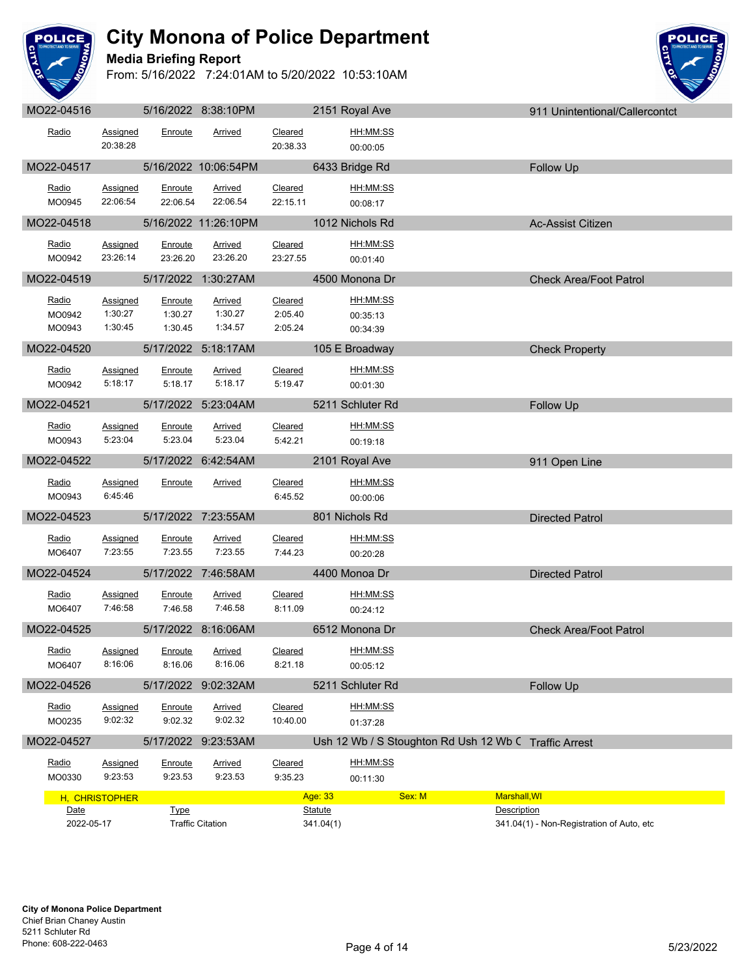

## **Media Briefing Report**



| Radio                     | <b>Assigned</b><br>20:38:28                                  | Enroute                       | Arrived                       | Cleared<br>20:38.33           | <u>HH:MM:SS</u><br>00:00:05      |                                                       |                                           |  |
|---------------------------|--------------------------------------------------------------|-------------------------------|-------------------------------|-------------------------------|----------------------------------|-------------------------------------------------------|-------------------------------------------|--|
| MO22-04517                |                                                              |                               | 5/16/2022 10:06:54PM          |                               | 6433 Bridge Rd                   |                                                       | Follow Up                                 |  |
| Radio<br>MO0945           | <b>Assigned</b><br>22:06:54                                  | Enroute<br>22:06.54           | <b>Arrived</b><br>22:06.54    | Cleared<br>22:15.11           | HH:MM:SS<br>00:08:17             |                                                       |                                           |  |
| MO22-04518                |                                                              |                               | 5/16/2022 11:26:10PM          | <u>and the state</u>          | 1012 Nichols Rd                  |                                                       | <b>Ac-Assist Citizen</b>                  |  |
| Radio<br>MO0942           | Assigned<br>23:26:14                                         | Enroute<br>23:26.20           | Arrived<br>23:26.20           | Cleared<br>23:27.55           | HH:MM:SS<br>00:01:40             |                                                       |                                           |  |
| MO22-04519                |                                                              |                               | 5/17/2022 1:30:27AM           |                               | 4500 Monona Dr                   |                                                       | <b>Check Area/Foot Patrol</b>             |  |
| Radio<br>MO0942<br>MO0943 | Assigned<br>1:30:27<br>1:30:45                               | Enroute<br>1:30.27<br>1:30.45 | Arrived<br>1:30.27<br>1:34.57 | Cleared<br>2:05.40<br>2:05.24 | HH:MM:SS<br>00:35:13<br>00:34:39 |                                                       |                                           |  |
| MO22-04520                |                                                              |                               | 5/17/2022 5:18:17AM           |                               | 105 E Broadway                   |                                                       | <b>Check Property</b>                     |  |
| Radio<br>MO0942           | Assigned<br>5:18:17                                          | Enroute<br>5:18.17            | <b>Arrived</b><br>5:18.17     | Cleared<br>5:19.47            | HH:MM:SS<br>00:01:30             |                                                       |                                           |  |
| MO22-04521                |                                                              |                               | 5/17/2022 5:23:04AM           |                               | 5211 Schluter Rd                 |                                                       | Follow Up                                 |  |
| Radio<br>MO0943           | Assigned<br>5:23:04                                          | Enroute<br>5:23.04            | Arrived<br>5:23.04            | <b>Cleared</b><br>5:42.21     | HH:MM:SS<br>00:19:18             |                                                       |                                           |  |
| MO22-04522                |                                                              |                               | 5/17/2022 6:42:54AM           |                               | 2101 Royal Ave                   |                                                       | 911 Open Line                             |  |
| Radio<br>MO0943           | Assigned<br>6:45:46                                          | Enroute                       | <b>Arrived</b>                | Cleared<br>6:45.52            | HH:MM:SS<br>00:00:06             |                                                       |                                           |  |
| MO22-04523                |                                                              |                               | 5/17/2022 7:23:55AM           |                               | 801 Nichols Rd                   |                                                       | <b>Directed Patrol</b>                    |  |
| Radio<br>MO6407           | Assigned<br>7:23:55                                          | Enroute<br>7:23.55            | <b>Arrived</b><br>7:23.55     | Cleared<br>7:44.23            | HH:MM:SS<br>00:20:28             |                                                       |                                           |  |
| MO22-04524                |                                                              |                               | 5/17/2022 7:46:58AM           |                               | 4400 Monoa Dr                    |                                                       | <b>Directed Patrol</b>                    |  |
| Radio<br>MO6407           | <b>Assigned</b><br>7:46:58                                   | Enroute<br>7:46.58            | <b>Arrived</b><br>7:46.58     | Cleared<br>8:11.09            | <u>HH:MM:SS</u><br>00:24:12      |                                                       |                                           |  |
| MO22-04525                |                                                              |                               | 5/17/2022 8:16:06AM           |                               | 6512 Monona Dr                   |                                                       | <b>Check Area/Foot Patrol</b>             |  |
| Radio<br>MO6407           | Assigned<br>8:16:06                                          | Enroute<br>8:16.06            | <b>Arrived</b><br>8:16.06     | Cleared<br>8:21.18            | HH:MM:SS<br>00:05:12             |                                                       |                                           |  |
| MO22-04526                |                                                              |                               | 5/17/2022 9:02:32AM           |                               | 5211 Schluter Rd                 |                                                       | Follow Up                                 |  |
| Radio<br>MO0235           | Assigned<br>9:02:32                                          | Enroute<br>9:02.32            | <b>Arrived</b><br>9:02.32     | <b>Cleared</b><br>10:40.00    | HH:MM:SS<br>01:37:28             |                                                       |                                           |  |
| MO22-04527                |                                                              |                               | 5/17/2022 9:23:53AM           |                               |                                  | Ush 12 Wb / S Stoughton Rd Ush 12 Wb C Traffic Arrest |                                           |  |
| Radio<br>MO0330           | Assigned<br>9:23:53                                          | Enroute<br>9:23.53            | Arrived<br>9:23.53            | Cleared<br>9:35.23            | HH:MM:SS<br>00:11:30             |                                                       |                                           |  |
| H, CHRISTOPHER            |                                                              |                               |                               | Age: 33                       | Sex: M                           | Marshall, WI                                          |                                           |  |
|                           | Date<br><b>Type</b><br><b>Traffic Citation</b><br>2022-05-17 |                               |                               |                               | <b>Statute</b><br>341.04(1)      | <b>Description</b>                                    | 341.04(1) - Non-Registration of Auto, etc |  |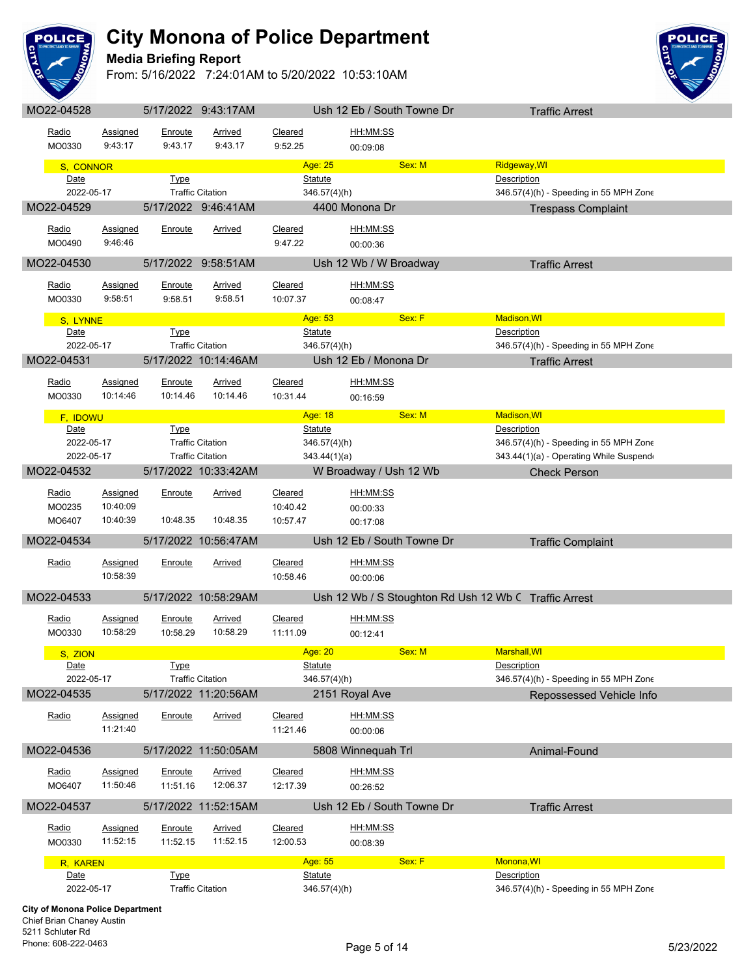

## **Media Briefing Report**

From: 5/16/2022 7:24:01AM to 5/20/2022 10:53:10AM



| MO22-04528                              |                             |                           | 5/17/2022 9:43:17AM       |                     |                           |                        | Ush 12 Eb / South Towne Dr | <b>Traffic Arrest</b>                                 |
|-----------------------------------------|-----------------------------|---------------------------|---------------------------|---------------------|---------------------------|------------------------|----------------------------|-------------------------------------------------------|
| Radio<br>MO0330                         | Assigned<br>9:43:17         | Enroute<br>9:43.17        | Arrived<br>9:43.17        | Cleared<br>9:52.25  |                           | HH:MM:SS<br>00:09:08   |                            |                                                       |
| S, CONNOR                               |                             |                           |                           |                     | Age: 25                   |                        | Sex: M                     | Ridgeway, WI                                          |
| Date                                    |                             | <b>Type</b>               |                           |                     | <b>Statute</b>            |                        |                            | Description                                           |
| 2022-05-17                              |                             |                           | <b>Traffic Citation</b>   |                     | 346.57(4)(h)              |                        |                            | 346.57(4)(h) - Speeding in 55 MPH Zone                |
| MO22-04529                              |                             |                           | 5/17/2022 9:46:41AM       |                     |                           | 4400 Monona Dr         |                            | <b>Trespass Complaint</b>                             |
|                                         |                             |                           |                           |                     |                           |                        |                            |                                                       |
| Radio                                   | Assigned                    | Enroute                   | Arrived                   | Cleared             |                           | HH:MM:SS               |                            |                                                       |
| MO0490                                  | 9:46:46                     |                           |                           | 9:47.22             |                           | 00:00:36               |                            |                                                       |
| MO22-04530                              |                             |                           | 5/17/2022 9:58:51AM       |                     |                           | Ush 12 Wb / W Broadway |                            | <b>Traffic Arrest</b>                                 |
|                                         |                             |                           |                           |                     |                           |                        |                            |                                                       |
| Radio                                   | <b>Assigned</b><br>9:58:51  | <b>Enroute</b><br>9:58.51 | <b>Arrived</b><br>9:58.51 | Cleared             |                           | HH:MM:SS               |                            |                                                       |
| MO0330                                  |                             |                           |                           | 10:07.37            |                           | 00:08:47               |                            |                                                       |
| S, LYNNE                                |                             |                           |                           |                     | Age: 53                   |                        | Sex: F                     | <b>Madison, WI</b>                                    |
| Date                                    |                             | <b>Type</b>               |                           |                     | <b>Statute</b>            |                        |                            | Description                                           |
| 2022-05-17                              |                             |                           | <b>Traffic Citation</b>   |                     | 346.57(4)(h)              |                        |                            | 346.57(4)(h) - Speeding in 55 MPH Zone                |
| MO22-04531                              |                             |                           | 5/17/2022 10:14:46AM      |                     |                           | Ush 12 Eb / Monona Dr  |                            | <b>Traffic Arrest</b>                                 |
| <u>Radio</u>                            | Assigned                    | <b>Enroute</b>            | <b>Arrived</b>            | Cleared             |                           | HH:MM:SS               |                            |                                                       |
| MO0330                                  | 10:14:46                    | 10:14.46                  | 10:14.46                  | 10:31.44            |                           | 00:16:59               |                            |                                                       |
|                                         |                             |                           |                           |                     |                           |                        | Sex: M                     |                                                       |
| F. IDOWU<br>Date                        |                             | <b>Type</b>               |                           |                     | Age: 18<br><b>Statute</b> |                        |                            | <b>Madison, WI</b><br>Description                     |
| 2022-05-17                              |                             |                           | <b>Traffic Citation</b>   |                     | $346.57(4)$ (h)           |                        |                            | 346.57(4)(h) - Speeding in 55 MPH Zone                |
| 2022-05-17                              |                             |                           | <b>Traffic Citation</b>   |                     | 343.44(1)(a)              |                        |                            | 343.44(1)(a) - Operating While Suspend                |
| MO22-04532                              |                             |                           | 5/17/2022 10:33:42AM      |                     |                           | W Broadway / Ush 12 Wb |                            | <b>Check Person</b>                                   |
|                                         |                             |                           |                           |                     |                           |                        |                            |                                                       |
| Radio                                   | <b>Assigned</b>             | Enroute                   | <b>Arrived</b>            | Cleared             |                           | HH:MM:SS               |                            |                                                       |
| MO0235                                  | 10:40:09                    |                           |                           | 10:40.42            |                           | 00:00:33               |                            |                                                       |
| MO6407                                  | 10:40:39                    | 10:48.35                  | 10:48.35                  | 10:57.47            |                           | 00:17:08               |                            |                                                       |
| MO22-04534                              |                             |                           | 5/17/2022 10:56:47AM      |                     |                           |                        | Ush 12 Eb / South Towne Dr | <b>Traffic Complaint</b>                              |
| Radio                                   | <b>Assigned</b>             | Enroute                   | <u>Arrived</u>            | Cleared             |                           | HH:MM:SS               |                            |                                                       |
|                                         | 10:58:39                    |                           |                           | 10:58.46            |                           | 00:00:06               |                            |                                                       |
|                                         |                             |                           |                           |                     |                           |                        |                            |                                                       |
| MO22-04533                              |                             |                           | 5/17/2022 10:58:29AM      |                     |                           |                        |                            | Ush 12 Wb / S Stoughton Rd Ush 12 Wb C Traffic Arrest |
| Radio                                   | <b>Assigned</b>             | Enroute                   | <b>Arrived</b>            | <b>Cleared</b>      |                           | HH:MM:SS               |                            |                                                       |
| MO0330                                  | 10:58:29                    | 10:58.29                  | 10:58.29                  | 11:11.09            |                           | 00:12:41               |                            |                                                       |
|                                         |                             |                           |                           |                     | Age: 20                   |                        | Sex: M                     | <b>Marshall, WI</b>                                   |
| S, ZION<br>Date                         |                             | <b>Type</b>               |                           |                     | <b>Statute</b>            |                        |                            | Description                                           |
| 2022-05-17                              |                             |                           | <b>Traffic Citation</b>   |                     | 346.57(4)(h)              |                        |                            | 346.57(4)(h) - Speeding in 55 MPH Zone                |
| MO22-04535                              |                             |                           | 5/17/2022 11:20:56AM      |                     |                           | 2151 Royal Ave         |                            | Repossessed Vehicle Info                              |
|                                         |                             |                           |                           |                     |                           |                        |                            |                                                       |
| Radio                                   | Assigned                    | Enroute                   | Arrived                   | Cleared             |                           | HH:MM:SS               |                            |                                                       |
|                                         | 11:21:40                    |                           |                           | 11:21.46            |                           | 00:00:06               |                            |                                                       |
| MO22-04536                              |                             |                           | 5/17/2022 11:50:05AM      |                     |                           | 5808 Winnequah Trl     |                            | Animal-Found                                          |
|                                         |                             |                           |                           |                     |                           |                        |                            |                                                       |
| Radio<br>MO6407                         | <b>Assigned</b><br>11:50:46 | Enroute<br>11:51.16       | Arrived<br>12:06.37       | Cleared<br>12:17.39 |                           | <u>HH:MM:SS</u>        |                            |                                                       |
|                                         |                             |                           |                           |                     |                           | 00:26:52               |                            |                                                       |
| MO22-04537                              |                             |                           | 5/17/2022 11:52:15AM      |                     |                           |                        | Ush 12 Eb / South Towne Dr | <b>Traffic Arrest</b>                                 |
| Radio                                   | <b>Assigned</b>             | Enroute                   | <b>Arrived</b>            | Cleared             |                           | HH:MM:SS               |                            |                                                       |
| MO0330                                  | 11:52:15                    | 11:52.15                  | 11:52.15                  | 12:00.53            |                           | 00:08:39               |                            |                                                       |
|                                         |                             |                           |                           |                     |                           |                        |                            |                                                       |
| R, KAREN                                |                             | <b>Type</b>               |                           |                     | Age: 55<br><b>Statute</b> |                        | Sex: F                     | Monona, WI<br>Description                             |
| Date<br>2022-05-17                      |                             |                           | <b>Traffic Citation</b>   |                     | $346.57(4)$ (h)           |                        |                            | 346.57(4)(h) - Speeding in 55 MPH Zone                |
|                                         |                             |                           |                           |                     |                           |                        |                            |                                                       |
| <b>City of Monona Police Department</b> |                             |                           |                           |                     |                           |                        |                            |                                                       |

Chief Brian Chaney Austin 5211 Schluter Rd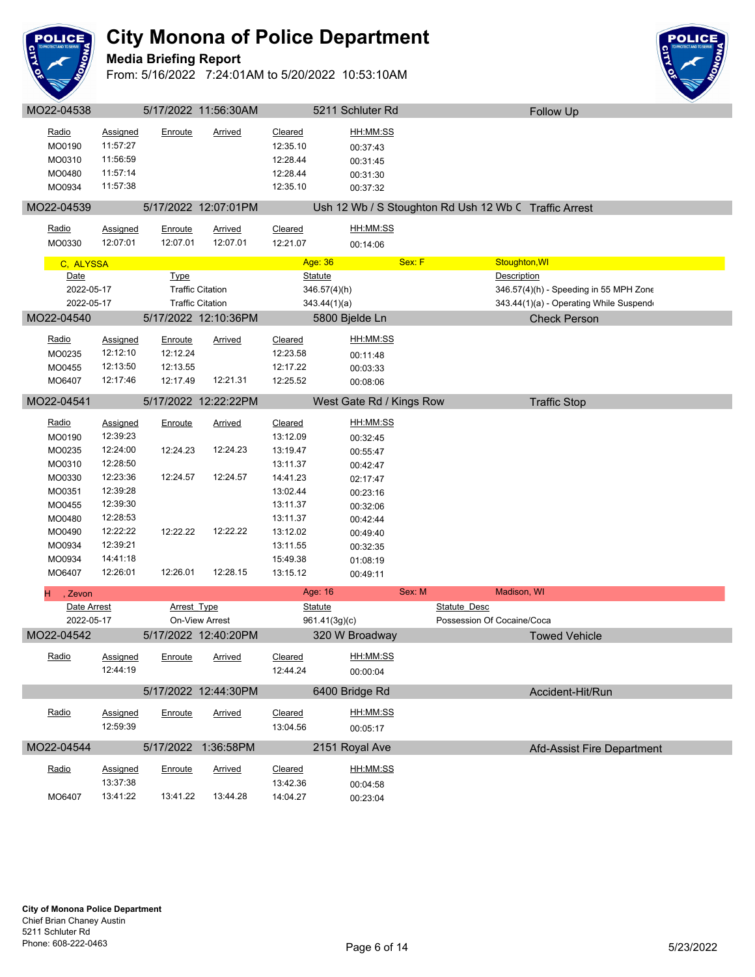

#### **Media Briefing Report**

From: 5/16/2022 7:24:01AM to 5/20/2022 10:53:10AM



**OLICE**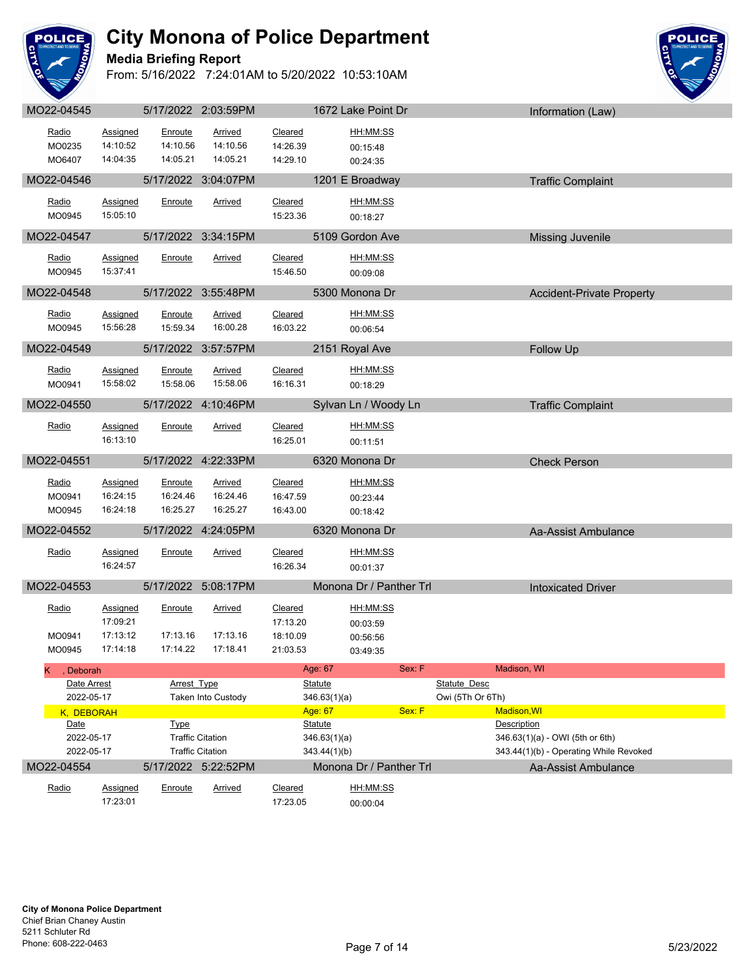

**Media Briefing Report**



| UULL-UTUTU                                 |                                                     |                                 | ULLIZUZZ Z.UU.UULIVI                               |                                             |                                | $1012$ Lang 1 VIIII DI           |        |                                  |                            | <b>INDUCTION</b> (Law)                                                    |  |
|--------------------------------------------|-----------------------------------------------------|---------------------------------|----------------------------------------------------|---------------------------------------------|--------------------------------|----------------------------------|--------|----------------------------------|----------------------------|---------------------------------------------------------------------------|--|
| Radio<br>MO0235                            | <b>Assigned</b><br>14:10:52                         | Enroute<br>14:10.56             | <b>Arrived</b><br>14:10.56                         | Cleared<br>14:26.39                         |                                | HH:MM:SS<br>00:15:48             |        |                                  |                            |                                                                           |  |
| MO6407                                     | 14:04:35                                            | 14:05.21                        | 14:05.21                                           | 14:29.10                                    |                                | 00:24:35                         |        |                                  |                            |                                                                           |  |
| MO22-04546                                 |                                                     |                                 | 5/17/2022 3:04:07PM                                |                                             |                                | 1201 E Broadway                  |        |                                  |                            | <b>Traffic Complaint</b>                                                  |  |
| Radio<br>MO0945                            | <b>Assigned</b><br>15:05:10                         | Enroute                         | Arrived                                            | Cleared<br>15:23.36                         |                                | HH:MM:SS<br>00:18:27             |        |                                  |                            |                                                                           |  |
| MO22-04547                                 |                                                     |                                 | 5/17/2022 3:34:15PM                                |                                             |                                | 5109 Gordon Ave                  |        |                                  |                            | <b>Missing Juvenile</b>                                                   |  |
| Radio<br>MO0945                            | <b>Assigned</b><br>15:37:41                         | Enroute                         | Arrived                                            | Cleared<br>15:46.50                         |                                | HH:MM:SS<br>00:09:08             |        |                                  |                            |                                                                           |  |
| MO22-04548                                 |                                                     |                                 | 5/17/2022 3:55:48PM                                |                                             |                                | 5300 Monona Dr                   |        |                                  |                            | <b>Accident-Private Property</b>                                          |  |
| Radio<br>MO0945                            | <b>Assigned</b><br>15:56:28                         | Enroute<br>15:59.34             | <b>Arrived</b><br>16:00.28                         | Cleared<br>16:03.22                         |                                | HH:MM:SS<br>00:06:54             |        |                                  |                            |                                                                           |  |
| MO22-04549                                 |                                                     |                                 | 5/17/2022 3:57:57PM                                |                                             |                                | 2151 Royal Ave                   |        |                                  |                            | Follow Up                                                                 |  |
| Radio<br>MO0941                            | <b>Assigned</b><br>15:58:02                         | Enroute<br>15:58.06             | <b>Arrived</b><br>15:58.06                         | Cleared<br>16:16.31                         |                                | HH:MM:SS<br>00:18:29             |        |                                  |                            |                                                                           |  |
| MO22-04550                                 |                                                     |                                 | 5/17/2022 4:10:46PM                                |                                             |                                | Sylvan Ln / Woody Ln             |        |                                  |                            | <b>Traffic Complaint</b>                                                  |  |
| Radio                                      | <b>Assigned</b><br>16:13:10                         | Enroute                         | Arrived                                            | Cleared<br>16:25.01                         |                                | HH:MM:SS<br>00:11:51             |        |                                  |                            |                                                                           |  |
| MO22-04551                                 |                                                     |                                 | 5/17/2022 4:22:33PM                                |                                             |                                | 6320 Monona Dr                   |        |                                  |                            | <b>Check Person</b>                                                       |  |
| Radio<br>MO0941<br>MO0945                  | <b>Assigned</b><br>16:24:15<br>16:24:18             | Enroute<br>16:24.46<br>16:25.27 | <b>Arrived</b><br>16:24.46<br>16:25.27             | Cleared<br>16:47.59<br>16:43.00             |                                | HH:MM:SS<br>00:23:44<br>00:18:42 |        |                                  |                            |                                                                           |  |
| MO22-04552                                 |                                                     |                                 | 5/17/2022 4:24:05PM                                |                                             |                                | 6320 Monona Dr                   |        |                                  |                            | Aa-Assist Ambulance                                                       |  |
| Radio                                      | <b>Assigned</b><br>16:24:57                         | Enroute                         | Arrived                                            | Cleared<br>16:26.34                         |                                | <u>HH:MM:SS</u><br>00:01:37      |        |                                  |                            |                                                                           |  |
| MO22-04553                                 |                                                     |                                 | 5/17/2022 5:08:17PM                                |                                             |                                | Monona Dr / Panther Trl          |        |                                  |                            | <b>Intoxicated Driver</b>                                                 |  |
| Radio<br>MO0941<br>MO0945                  | <b>Assigned</b><br>17:09:21<br>17:13:12<br>17:14:18 | Enroute<br>17:13.16<br>17:14.22 | <b>Arrived</b><br>17:13.16<br>17:18.41             | Cleared<br>17:13.20<br>18:10.09<br>21:03.53 |                                | HH:MM:SS<br>00:03:59<br>00:56:56 |        |                                  |                            |                                                                           |  |
|                                            |                                                     |                                 |                                                    |                                             | Age: 67                        | 03:49:35                         | Sex: F |                                  | Madison, WI                |                                                                           |  |
| K.<br>Deborah<br>Date Arrest<br>2022-05-17 |                                                     | <b>Arrest Type</b>              | Taken Into Custody                                 |                                             | <b>Statute</b><br>346.63(1)(a) |                                  |        | Statute Desc<br>Owi (5Th Or 6Th) |                            |                                                                           |  |
| K, DEBORAH<br>Date                         |                                                     | <b>Type</b>                     |                                                    |                                             | Age: 67<br><b>Statute</b>      |                                  | Sex: F |                                  | Madison, WI<br>Description |                                                                           |  |
| 2022-05-17<br>2022-05-17                   |                                                     |                                 | <b>Traffic Citation</b><br><b>Traffic Citation</b> |                                             | 346.63(1)(a)<br>343.44(1)(b)   |                                  |        |                                  |                            | 346.63(1)(a) - OWI (5th or 6th)<br>343.44(1)(b) - Operating While Revoked |  |
| MO22-04554                                 |                                                     |                                 | 5/17/2022 5:22:52PM                                |                                             |                                | Monona Dr / Panther Trl          |        |                                  |                            | Aa-Assist Ambulance                                                       |  |
| Radio                                      | Assigned<br>17:23:01                                | Enroute                         | Arrived                                            | Cleared<br>17:23.05                         |                                | HH:MM:SS<br>00:00:04             |        |                                  |                            |                                                                           |  |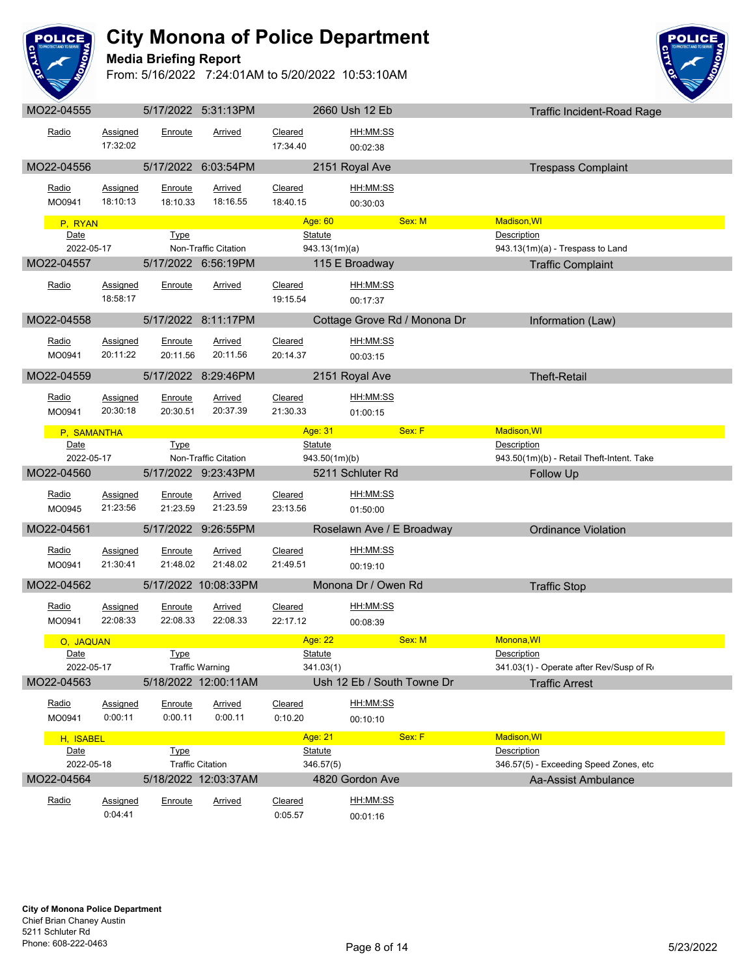

## **Media Briefing Report**



| MO22-04555          |                      |                     | 5/17/2022 5:31:13PM                            |                     | 2660 Ush 12 Eb                          |        | <b>Traffic Incident-Road Rage</b>                                |  |
|---------------------|----------------------|---------------------|------------------------------------------------|---------------------|-----------------------------------------|--------|------------------------------------------------------------------|--|
| Radio               | Assigned             | Enroute             | Arrived                                        | Cleared             | HH:MM:SS                                |        |                                                                  |  |
|                     | 17:32:02             |                     |                                                | 17:34.40            | 00:02:38                                |        |                                                                  |  |
| MO22-04556          |                      |                     | 5/17/2022 6:03:54PM                            |                     | 2151 Royal Ave                          |        | <b>Trespass Complaint</b>                                        |  |
| Radio               | <b>Assigned</b>      | Enroute             | <b>Arrived</b>                                 | Cleared             | HH:MM:SS                                |        |                                                                  |  |
| MO0941              | 18:10:13             | 18:10.33            | 18:16.55                                       | 18:40.15            | 00:30:03                                |        |                                                                  |  |
| P, RYAN             |                      |                     |                                                |                     | Age: 60                                 | Sex: M | Madison, WI                                                      |  |
| Date                |                      | Type                |                                                |                     | Statute                                 |        | Description                                                      |  |
| 2022-05-17          |                      |                     | Non-Traffic Citation                           |                     | 943.13(1m)(a)                           |        | 943.13(1m)(a) - Trespass to Land                                 |  |
| MO22-04557          |                      |                     | 5/17/2022 6:56:19PM                            |                     | 115 E Broadway                          |        | <b>Traffic Complaint</b>                                         |  |
| Radio               | Assigned             | Enroute             | <b>Arrived</b>                                 | Cleared             | HH:MM:SS                                |        |                                                                  |  |
|                     | 18:58:17             |                     |                                                | 19:15.54            | 00:17:37                                |        |                                                                  |  |
| MO22-04558          |                      |                     | 5/17/2022 8:11:17PM                            |                     | Cottage Grove Rd / Monona Dr            |        | Information (Law)                                                |  |
| Radio               | Assigned             | Enroute             | <b>Arrived</b>                                 | Cleared             | HH:MM:SS                                |        |                                                                  |  |
| MO0941              | 20:11:22             | 20:11.56            | 20:11.56                                       | 20:14.37            | 00:03:15                                |        |                                                                  |  |
| MO22-04559          |                      |                     | 5/17/2022 8:29:46PM                            |                     | 2151 Royal Ave                          |        | <b>Theft-Retail</b>                                              |  |
|                     |                      |                     |                                                |                     |                                         |        |                                                                  |  |
| Radio<br>MO0941     | Assigned<br>20:30:18 | Enroute<br>20:30.51 | Arrived<br>20:37.39                            | Cleared<br>21:30.33 | HH:MM:SS                                |        |                                                                  |  |
|                     |                      |                     |                                                |                     | 01:00:15                                |        |                                                                  |  |
| P, SAMANTHA<br>Date |                      | Type                |                                                |                     | Age: 31 Age: 31                         | Sex: F | Madison, WI<br>Description                                       |  |
| 2022-05-17          |                      |                     | Non-Traffic Citation                           |                     | <b>Statute</b><br>943.50(1m)(b)         |        | 943.50(1m)(b) - Retail Theft-Intent. Take                        |  |
| MO22-04560          |                      |                     | 5/17/2022 9:23:43PM                            |                     | 5211 Schluter Rd                        |        | Follow Up                                                        |  |
| Radio               | Assigned             | Enroute             | Arrived                                        | Cleared             | HH:MM:SS                                |        |                                                                  |  |
| MO0945              | 21:23:56             | 21:23.59            | 21:23.59                                       | 23:13.56            | 01:50:00                                |        |                                                                  |  |
| MO22-04561          |                      |                     | 5/17/2022 9:26:55PM                            |                     | Roselawn Ave / E Broadway               |        | <b>Ordinance Violation</b>                                       |  |
|                     |                      |                     |                                                |                     |                                         |        |                                                                  |  |
| Radio<br>MO0941     | Assigned<br>21:30:41 | Enroute<br>21:48.02 | <b>Arrived</b><br>21:48.02                     | Cleared<br>21:49.51 | HH:MM:SS                                |        |                                                                  |  |
|                     |                      |                     |                                                |                     | 00:19:10                                |        |                                                                  |  |
| MO22-04562          |                      |                     | 5/17/2022 10:08:33PM                           |                     | Monona Dr / Owen Rd                     |        | <b>Traffic Stop</b>                                              |  |
| Radio               | <b>Assigned</b>      | Enroute             | <b>Arrived</b>                                 | Cleared             | HH:MM:SS                                |        |                                                                  |  |
| MO0941              | 22:08:33             | 22:08.33            | 22:08.33                                       | 22:17.12            | 00:08:39                                |        |                                                                  |  |
| O, JAQUAN           |                      |                     |                                                |                     | Age: 22                                 | Sex: M | Monona, WI                                                       |  |
| Date<br>2022-05-17  |                      | Type                |                                                |                     | Statute                                 |        | Description                                                      |  |
| MO22-04563          |                      |                     | <b>Traffic Warning</b><br>5/18/2022 12:00:11AM |                     | 341.03(1)<br>Ush 12 Eb / South Towne Dr |        | 341.03(1) - Operate after Rev/Susp of R<br><b>Traffic Arrest</b> |  |
|                     |                      |                     |                                                |                     |                                         |        |                                                                  |  |
| Radio<br>MO0941     | Assigned<br>0:00:11  | Enroute<br>0:00.11  | <b>Arrived</b><br>0:00.11                      | Cleared<br>0:10.20  | HH:MM:SS                                |        |                                                                  |  |
|                     |                      |                     |                                                |                     | 00:10:10                                |        |                                                                  |  |
| H, ISABEL<br>Date   |                      | <b>Type</b>         |                                                |                     | Age: 21<br><b>Statute</b>               | Sex: F | <b>Madison, WI</b><br>Description                                |  |
| 2022-05-18          |                      |                     | <b>Traffic Citation</b>                        |                     | 346.57(5)                               |        | 346.57(5) - Exceeding Speed Zones, etc                           |  |
| MO22-04564          |                      |                     | 5/18/2022 12:03:37AM                           |                     | 4820 Gordon Ave                         |        | Aa-Assist Ambulance                                              |  |
| Radio               | Assigned             | Enroute             | Arrived                                        | Cleared             | HH:MM:SS                                |        |                                                                  |  |
|                     | 0:04:41              |                     |                                                | 0:05.57             | 00:01:16                                |        |                                                                  |  |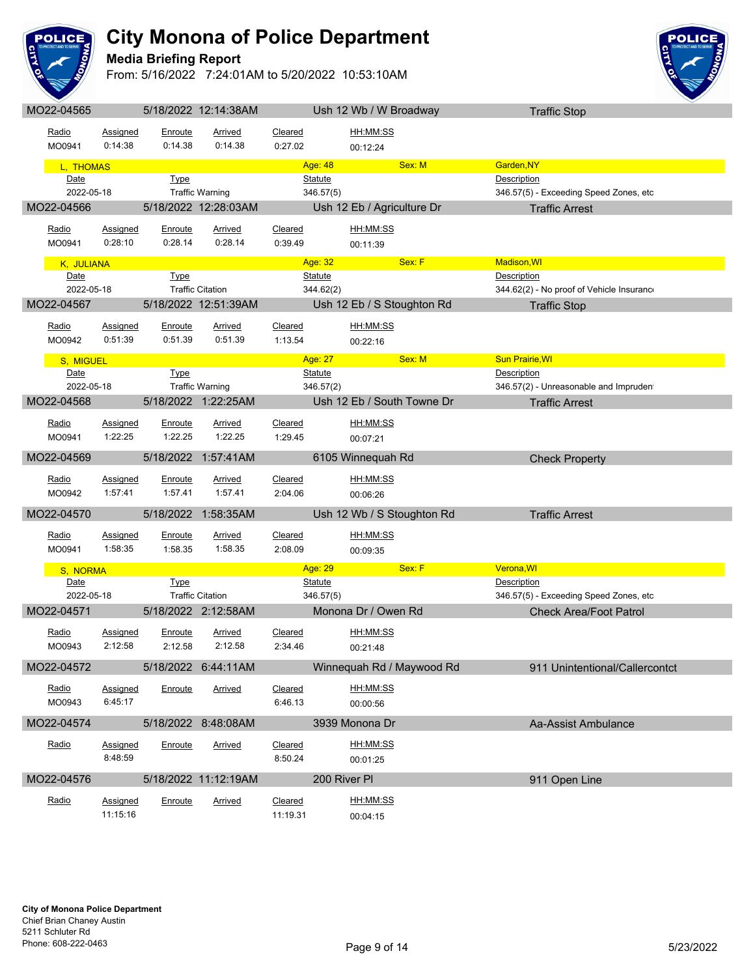

## **Media Briefing Report**



| MO22-04565         |                     |                           | 5/18/2022 12:14:38AM      |                    |                             | Ush 12 Wb / W Broadway      | <b>Traffic Stop</b>                                          |
|--------------------|---------------------|---------------------------|---------------------------|--------------------|-----------------------------|-----------------------------|--------------------------------------------------------------|
| Radio              | <b>Assigned</b>     | Enroute                   | <b>Arrived</b>            | <b>Cleared</b>     |                             | HH:MM:SS                    |                                                              |
| MO0941             | 0:14:38             | 0:14.38                   | 0:14.38                   | 0:27.02            |                             | 00:12:24                    |                                                              |
| L, THOMAS          |                     |                           |                           |                    | Age: 48                     | Sex: M                      | Garden, NY                                                   |
| Date               |                     | <b>Type</b>               |                           |                    | <b>Statute</b>              |                             | <b>Description</b>                                           |
| 2022-05-18         |                     |                           | <b>Traffic Warning</b>    |                    | 346.57(5)                   |                             | 346.57(5) - Exceeding Speed Zones, etc                       |
| MO22-04566         |                     |                           | 5/18/2022 12:28:03AM      |                    |                             | Ush 12 Eb / Agriculture Dr  | <b>Traffic Arrest</b>                                        |
| Radio              | Assigned            | Enroute                   | Arrived                   | Cleared            |                             | <u>HH:MM:SS</u>             |                                                              |
| MO0941             | 0:28:10             | 0:28.14                   | 0:28.14                   | 0:39.49            |                             | 00:11:39                    |                                                              |
|                    |                     |                           |                           |                    | Age: 32                     | Sex: F                      | <b>Madison, WI</b>                                           |
| K, JULIANA<br>Date |                     | Type                      |                           |                    | <b>Statute</b>              |                             | Description                                                  |
| 2022-05-18         |                     |                           | <b>Traffic Citation</b>   |                    | 344.62(2)                   |                             | 344.62(2) - No proof of Vehicle Insurance                    |
| MO22-04567         |                     |                           | 5/18/2022 12:51:39AM      |                    |                             | Ush 12 Eb / S Stoughton Rd  | <b>Traffic Stop</b>                                          |
|                    |                     |                           |                           |                    |                             |                             |                                                              |
| Radio<br>MO0942    | Assigned<br>0:51:39 | <b>Enroute</b><br>0:51.39 | <u>Arrived</u><br>0:51.39 | Cleared<br>1:13.54 |                             | <u>HH:MM:SS</u><br>00:22:16 |                                                              |
|                    |                     |                           |                           |                    |                             |                             |                                                              |
| S, MIGUEL<br>Date  |                     |                           |                           |                    | Age: 27                     | Sex: M                      | <b>Sun Prairie, WI</b><br>Description                        |
| 2022-05-18         |                     | <b>Type</b>               | <b>Traffic Warning</b>    |                    | <b>Statute</b><br>346.57(2) |                             | 346.57(2) - Unreasonable and Impruden                        |
| MO22-04568         |                     |                           | 5/18/2022 1:22:25AM       |                    |                             | Ush 12 Eb / South Towne Dr  | <b>Traffic Arrest</b>                                        |
|                    |                     |                           |                           |                    |                             |                             |                                                              |
| Radio              | Assigned            | Enroute                   | <b>Arrived</b>            | Cleared            |                             | <u>HH:MM:SS</u>             |                                                              |
| MO0941             | 1:22:25             | 1:22.25                   | 1:22.25                   | 1:29.45            |                             | 00:07:21                    |                                                              |
| MO22-04569         |                     |                           | 5/18/2022 1:57:41AM       |                    |                             | 6105 Winnequah Rd           | <b>Check Property</b>                                        |
| Radio              | Assigned            | Enroute                   | Arrived                   | Cleared            |                             | HH:MM:SS                    |                                                              |
| MO0942             | 1:57:41             | 1:57.41                   | 1:57.41                   | 2:04.06            |                             | 00:06:26                    |                                                              |
| MO22-04570         |                     | 5/18/2022                 | 1:58:35AM                 |                    |                             | Ush 12 Wb / S Stoughton Rd  | <b>Traffic Arrest</b>                                        |
|                    |                     |                           |                           |                    |                             |                             |                                                              |
| Radio              | Assigned            | Enroute                   | <u>Arrived</u>            | Cleared            |                             | HH:MM:SS                    |                                                              |
| MO0941             | 1:58:35             | 1:58.35                   | 1:58.35                   | 2:08.09            |                             | 00:09:35                    |                                                              |
| S, NORMA           |                     |                           |                           |                    | Age: 29                     | Sex: F                      | Verona, WI                                                   |
| Date<br>2022-05-18 |                     | <b>Type</b>               | <b>Traffic Citation</b>   |                    | <b>Statute</b><br>346.57(5) |                             | <b>Description</b><br>346.57(5) - Exceeding Speed Zones, etc |
| MO22-04571         |                     |                           | 5/18/2022 2:12:58AM       |                    |                             | Monona Dr / Owen Rd         | <b>Check Area/Foot Patrol</b>                                |
|                    |                     |                           |                           |                    |                             |                             |                                                              |
| Radio              | <b>Assigned</b>     | Enroute                   | <b>Arrived</b>            | Cleared            |                             | <u>HH:MM:SS</u>             |                                                              |
| MO0943             | 2:12:58             | 2:12.58                   | 2:12.58                   | 2:34.46            |                             | 00:21:48                    |                                                              |
| MO22-04572         |                     |                           | 5/18/2022 6:44:11AM       |                    |                             | Winnequah Rd / Maywood Rd   | 911 Unintentional/Callercontct                               |
| Radio              | Assigned            | Enroute                   | Arrived                   | Cleared            |                             | HH:MM:SS                    |                                                              |
| MO0943             | 6:45:17             |                           |                           | 6:46.13            |                             | 00:00:56                    |                                                              |
| MO22-04574         |                     |                           | 5/18/2022 8:48:08AM       |                    |                             | 3939 Monona Dr              | Aa-Assist Ambulance                                          |
|                    |                     |                           |                           |                    |                             |                             |                                                              |
| Radio              | <b>Assigned</b>     | Enroute                   | <b>Arrived</b>            | Cleared            |                             | HH:MM:SS                    |                                                              |
|                    | 8:48:59             |                           |                           | 8:50.24            |                             | 00:01:25                    |                                                              |
| MO22-04576         |                     |                           | 5/18/2022 11:12:19AM      |                    | 200 River PI                |                             | 911 Open Line                                                |
| Radio              | Assigned            | Enroute                   | <b>Arrived</b>            | Cleared            |                             | <u>HH:MM:SS</u>             |                                                              |
|                    | 11:15:16            |                           |                           | 11:19.31           |                             | 00:04:15                    |                                                              |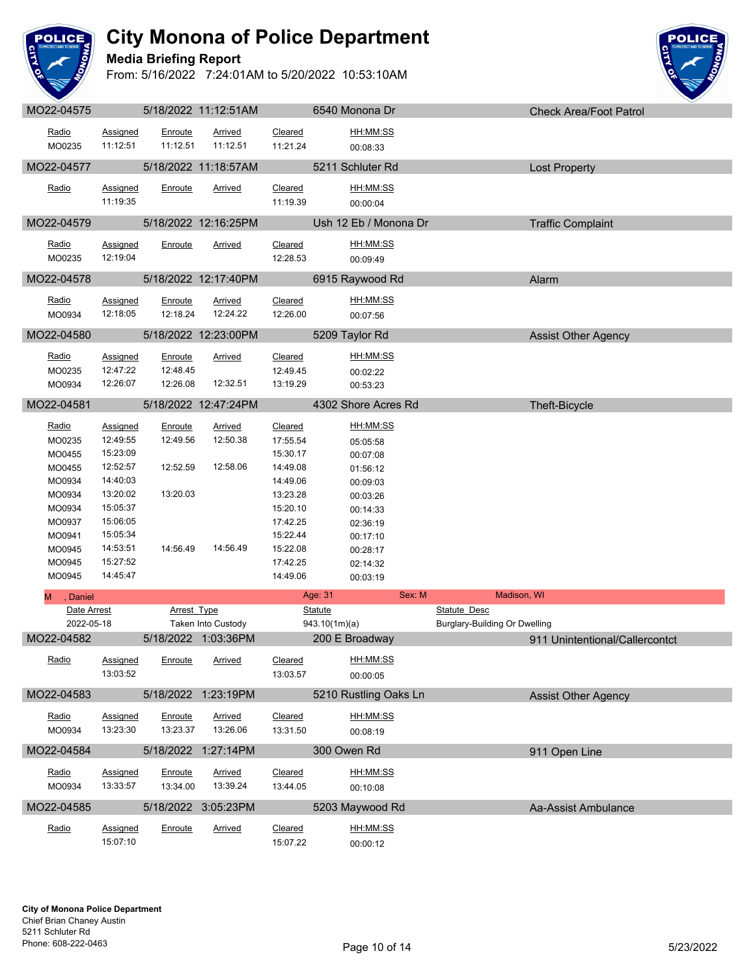

**Media Briefing Report**



| Radio<br>MO0235        | Assigned<br>11:12:51        | Enroute<br>11:12.51 | <u>Arrived</u><br>11:12.51 | Cleared<br>11:21.24 | <u>HH:MM:SS</u><br>00:08:33 |                                |
|------------------------|-----------------------------|---------------------|----------------------------|---------------------|-----------------------------|--------------------------------|
|                        |                             |                     |                            |                     |                             |                                |
| MO22-04577             |                             |                     | 5/18/2022 11:18:57AM       |                     | 5211 Schluter Rd            | <b>Lost Property</b>           |
| Radio                  | <b>Assigned</b>             | <b>Enroute</b>      | <b>Arrived</b>             | Cleared             | HH:MM:SS                    |                                |
|                        | 11:19:35                    |                     |                            | 11:19.39            | 00:00:04                    |                                |
| MO22-04579             |                             |                     | 5/18/2022 12:16:25PM       |                     | Ush 12 Eb / Monona Dr       | <b>Traffic Complaint</b>       |
| Radio                  | Assigned                    | Enroute             | <u>Arrived</u>             | Cleared             | HH:MM:SS                    |                                |
| MO0235                 | 12:19:04                    |                     |                            | 12:28.53            | 00:09:49                    |                                |
| MO22-04578             |                             |                     | 5/18/2022 12:17:40PM       |                     | 6915 Raywood Rd             | Alarm                          |
|                        |                             |                     |                            | Cleared             | HH:MM:SS                    |                                |
| <u>Radio</u><br>MO0934 | <b>Assigned</b><br>12:18:05 | Enroute<br>12:18.24 | <b>Arrived</b><br>12:24.22 | 12:26.00            |                             |                                |
|                        |                             |                     |                            |                     | 00:07:56                    |                                |
| MO22-04580             |                             |                     | 5/18/2022 12:23:00PM       |                     | 5209 Taylor Rd              | <b>Assist Other Agency</b>     |
| Radio                  | <b>Assigned</b>             | Enroute             | <b>Arrived</b>             | Cleared             | HH:MM:SS                    |                                |
| MO0235                 | 12:47:22                    | 12:48.45            |                            | 12:49.45            | 00:02:22                    |                                |
| MO0934                 | 12:26:07                    | 12:26.08            | 12:32.51                   | 13:19.29            | 00:53:23                    |                                |
| MO22-04581             |                             |                     | 5/18/2022 12:47:24PM       |                     | 4302 Shore Acres Rd         | Theft-Bicycle                  |
| Radio                  | <b>Assigned</b>             | Enroute             | <b>Arrived</b>             | Cleared             | HH:MM:SS                    |                                |
| MO0235                 | 12:49:55                    | 12:49.56            | 12:50.38                   | 17:55.54            | 05:05:58                    |                                |
| MO0455                 | 15:23:09                    |                     |                            | 15:30.17            | 00:07:08                    |                                |
| MO0455                 | 12:52:57                    | 12:52.59            | 12:58.06                   | 14:49.08            | 01:56:12                    |                                |
| MO0934                 | 14:40:03                    |                     |                            | 14:49.06            | 00:09:03                    |                                |
| MO0934                 | 13:20:02                    | 13:20.03            |                            | 13:23.28            | 00:03:26                    |                                |
| MO0934                 | 15:05:37                    |                     |                            | 15:20.10            | 00:14:33                    |                                |
| MO0937                 | 15:06:05                    |                     |                            | 17:42.25            | 02:36:19                    |                                |
| MO0941                 | 15:05:34                    |                     |                            | 15:22.44            | 00:17:10                    |                                |
| MO0945                 | 14:53:51                    | 14:56.49            | 14:56.49                   | 15:22.08            | 00:28:17                    |                                |
| MO0945                 | 15:27:52                    |                     |                            | 17:42.25            | 02:14:32                    |                                |
| MO0945                 | 14:45:47                    |                     |                            | 14:49.06            | 00:03:19                    |                                |
| , Daniel<br>м          |                             |                     |                            |                     | Age: 31<br>Sex: M           | Madison, WI                    |
| Date Arrest            |                             | <b>Arrest Type</b>  |                            |                     | <b>Statute</b>              | <b>Statute Desc</b>            |
| 2022-05-18             |                             |                     | Taken Into Custody         |                     | 943.10(1m)(a)               | Burglary-Building Or Dwelling  |
| MO22-04582             |                             |                     | 5/18/2022 1:03:36PM        |                     | 200 E Broadway              | 911 Unintentional/Callercontct |
| Radio                  | Assigned                    | Enroute             | Arrived                    | Cleared             | HH:MM:SS                    |                                |
|                        | 13:03:52                    |                     |                            | 13:03.57            | 00:00:05                    |                                |
| MO22-04583             |                             |                     | 5/18/2022 1:23:19PM        |                     | 5210 Rustling Oaks Ln       | <b>Assist Other Agency</b>     |
| Radio                  |                             |                     |                            |                     |                             |                                |
|                        |                             |                     |                            |                     |                             |                                |
|                        | Assigned                    | Enroute             | Arrived                    | Cleared             | HH:MM:SS                    |                                |
| MO0934                 | 13:23:30                    | 13:23.37            | 13:26.06                   | 13:31.50            | 00:08:19                    |                                |
| MO22-04584             |                             |                     | 5/18/2022 1:27:14PM        |                     | 300 Owen Rd                 | 911 Open Line                  |
| Radio                  | <b>Assigned</b>             | Enroute             | <b>Arrived</b>             | Cleared             | HH:MM:SS                    |                                |
| MO0934                 | 13:33:57                    | 13:34.00            | 13:39.24                   | 13:44.05            | 00:10:08                    |                                |
| MO22-04585             |                             |                     | 5/18/2022 3:05:23PM        |                     | 5203 Maywood Rd             | Aa-Assist Ambulance            |
|                        |                             |                     |                            |                     |                             |                                |
| Radio                  | Assigned<br>15:07:10        | Enroute             | <b>Arrived</b>             | Cleared<br>15:07.22 | HH:MM:SS<br>00:00:12        |                                |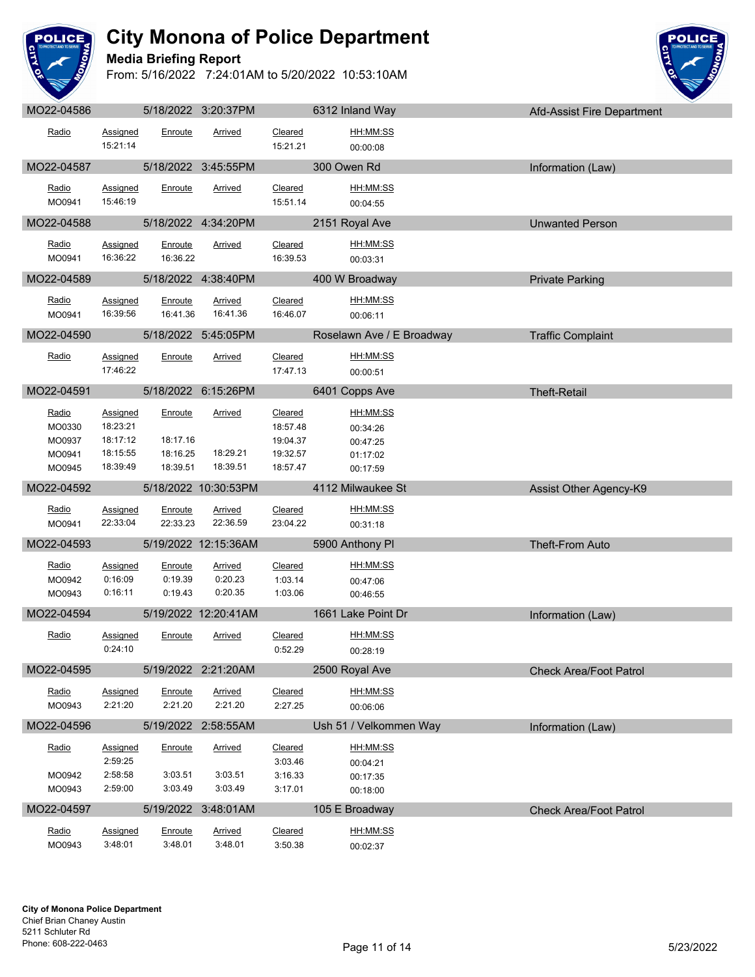

**Media Briefing Report**



| Radio                                         | Assigned<br>15:21:14                                     | Enroute                                     | Arrived                              | <b>Cleared</b><br>15:21.21                                     | HH:MM:SS<br>00:00:08                                     |                               |  |
|-----------------------------------------------|----------------------------------------------------------|---------------------------------------------|--------------------------------------|----------------------------------------------------------------|----------------------------------------------------------|-------------------------------|--|
| MO22-04587                                    |                                                          |                                             | 5/18/2022 3:45:55PM                  |                                                                | 300 Owen Rd                                              | Information (Law)             |  |
| Radio<br>MO0941                               | <b>Assigned</b><br>15:46:19                              | Enroute                                     | <b>Arrived</b>                       | Cleared<br>15:51.14                                            | HH:MM:SS<br>00:04:55                                     |                               |  |
| MO22-04588                                    |                                                          |                                             | 5/18/2022 4:34:20PM                  |                                                                | 2151 Royal Ave                                           | <b>Unwanted Person</b>        |  |
| Radio<br>MO0941                               | <b>Assigned</b><br>16:36:22                              | Enroute<br>16:36.22                         | Arrived                              | Cleared<br>16:39.53                                            | HH:MM:SS<br>00:03:31                                     |                               |  |
| MO22-04589                                    |                                                          |                                             | 5/18/2022 4:38:40PM                  |                                                                | 400 W Broadway                                           | <b>Private Parking</b>        |  |
| Radio<br>MO0941                               | <b>Assigned</b><br>16:39:56                              | Enroute<br>16:41.36                         | <b>Arrived</b><br>16:41.36           | Cleared<br>16:46.07                                            | HH:MM:SS<br>00:06:11                                     |                               |  |
| MO22-04590                                    |                                                          |                                             | 5/18/2022 5:45:05PM                  |                                                                | Roselawn Ave / E Broadway                                | <b>Traffic Complaint</b>      |  |
| Radio                                         | Assigned<br>17:46:22                                     | Enroute                                     | <b>Arrived</b>                       | Cleared<br>17:47.13                                            | HH:MM:SS<br>00:00:51                                     |                               |  |
| MO22-04591                                    |                                                          |                                             | 5/18/2022 6:15:26PM                  |                                                                | 6401 Copps Ave                                           | <b>Theft-Retail</b>           |  |
| Radio<br>MO0330<br>MO0937<br>MO0941<br>MO0945 | Assigned<br>18:23:21<br>18:17:12<br>18:15:55<br>18:39:49 | Enroute<br>18:17.16<br>18:16.25<br>18:39.51 | Arrived<br>18:29.21<br>18:39.51      | <b>Cleared</b><br>18:57.48<br>19:04.37<br>19:32.57<br>18:57.47 | HH:MM:SS<br>00:34:26<br>00:47:25<br>01:17:02<br>00:17:59 |                               |  |
| MO22-04592                                    |                                                          |                                             | 5/18/2022 10:30:53PM                 |                                                                | 4112 Milwaukee St                                        | Assist Other Agency-K9        |  |
| Radio<br>MO0941                               | <b>Assigned</b><br>22:33:04                              | Enroute<br>22:33.23                         | <b>Arrived</b><br>22:36.59           | Cleared<br>23:04.22                                            | HH:MM:SS<br>00:31:18                                     |                               |  |
| MO22-04593                                    |                                                          |                                             | 5/19/2022 12:15:36AM                 |                                                                | 5900 Anthony Pl                                          | Theft-From Auto               |  |
| Radio<br>MO0942<br>MO0943                     | <b>Assigned</b><br>0:16:09<br>0:16:11                    | Enroute<br>0:19.39<br>0:19.43               | <b>Arrived</b><br>0:20.23<br>0:20.35 | Cleared<br>1:03.14<br>1:03.06                                  | HH:MM:SS<br>00:47:06<br>00:46:55                         |                               |  |
| MO22-04594                                    |                                                          |                                             | 5/19/2022 12:20:41AM                 |                                                                | 1661 Lake Point Dr                                       | Information (Law)             |  |
| Radio                                         | <b>Assigned</b><br>0:24:10                               | Enroute                                     | Arrived                              | <b>Cleared</b><br>0:52.29                                      | HH:MM:SS<br>00:28:19                                     |                               |  |
| MO22-04595                                    |                                                          |                                             | 5/19/2022 2:21:20AM                  |                                                                | 2500 Royal Ave                                           | <b>Check Area/Foot Patrol</b> |  |
| Radio<br>MO0943                               | <b>Assigned</b><br>2:21:20                               | Enroute<br>2:21.20                          | Arrived<br>2:21.20                   | Cleared<br>2:27.25                                             | HH:MM:SS<br>00:06:06                                     |                               |  |
| MO22-04596                                    |                                                          |                                             | 5/19/2022 2:58:55AM                  |                                                                | Ush 51 / Velkommen Way                                   | Information (Law)             |  |
| Radio<br>MO0942<br>MO0943                     | Assigned<br>2:59:25<br>2:58:58                           | Enroute<br>3:03.51                          | <b>Arrived</b><br>3:03.51            | <b>Cleared</b><br>3:03.46<br>3:16.33                           | HH:MM:SS<br>00:04:21<br>00:17:35                         |                               |  |
|                                               | 2:59:00                                                  | 3:03.49                                     | 3:03.49                              | 3:17.01                                                        | 00:18:00                                                 |                               |  |
| MO22-04597                                    |                                                          |                                             | 5/19/2022 3:48:01AM                  |                                                                | 105 E Broadway                                           | <b>Check Area/Foot Patrol</b> |  |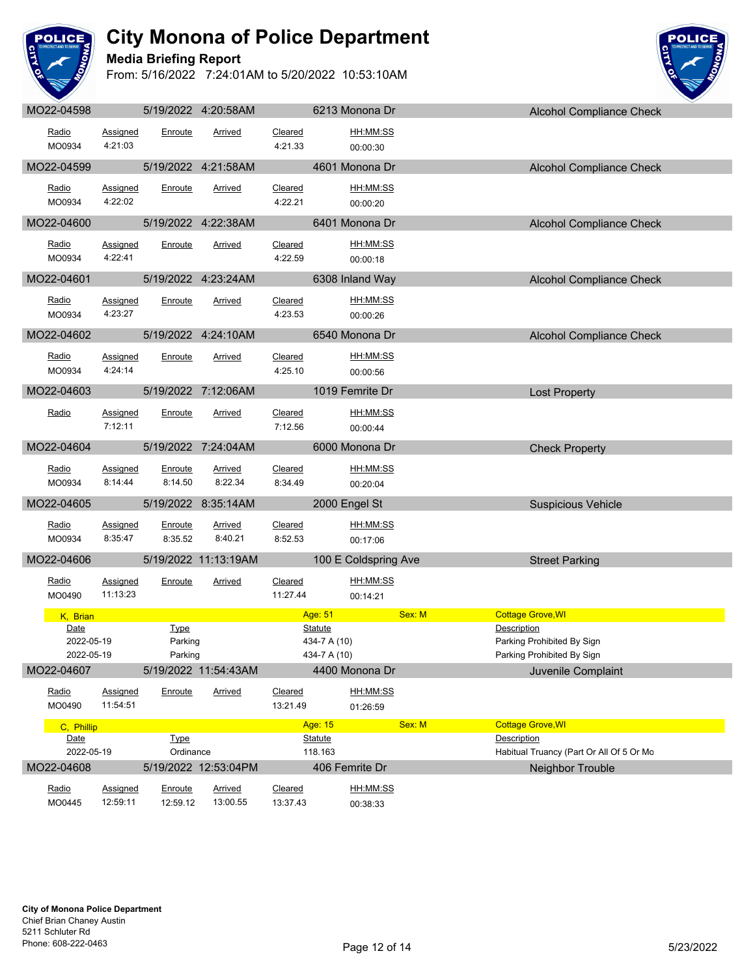

## **Media Briefing Report**



| Radio                    | Assigned             | Enroute             | Arrived              | Cleared             |                              | HH:MM:SS             |        |                                                          |
|--------------------------|----------------------|---------------------|----------------------|---------------------|------------------------------|----------------------|--------|----------------------------------------------------------|
| MO0934                   | 4:21:03              |                     |                      | 4:21.33             |                              | 00:00:30             |        |                                                          |
| MO22-04599               |                      |                     | 5/19/2022 4:21:58AM  |                     |                              | 4601 Monona Dr       |        | Alcohol Compliance Check                                 |
| Radio                    | <b>Assigned</b>      | Enroute             | <b>Arrived</b>       | Cleared             |                              | HH:MM:SS             |        |                                                          |
| MO0934                   | 4:22:02              |                     |                      | 4:22.21             |                              | 00:00:20             |        |                                                          |
| MO22-04600               |                      |                     | 5/19/2022 4:22:38AM  |                     |                              | 6401 Monona Dr       |        | Alcohol Compliance Check                                 |
|                          |                      |                     |                      |                     |                              |                      |        |                                                          |
| Radio<br>MO0934          | Assigned<br>4:22:41  | Enroute             | Arrived              | Cleared<br>4:22.59  |                              | HH:MM:SS<br>00:00:18 |        |                                                          |
|                          |                      |                     |                      |                     |                              |                      |        |                                                          |
| MO22-04601               |                      |                     | 5/19/2022 4:23:24AM  |                     |                              | 6308 Inland Way      |        | Alcohol Compliance Check                                 |
| Radio                    | Assigned             | Enroute             | Arrived              | Cleared             |                              | <u>HH:MM:SS</u>      |        |                                                          |
| MO0934                   | 4:23:27              |                     |                      | 4:23.53             |                              | 00:00:26             |        |                                                          |
| MO22-04602               |                      |                     | 5/19/2022 4:24:10AM  |                     |                              | 6540 Monona Dr       |        | Alcohol Compliance Check                                 |
| Radio                    | <b>Assigned</b>      | Enroute             | <b>Arrived</b>       | Cleared             |                              | HH:MM:SS             |        |                                                          |
| MO0934                   | 4:24:14              |                     |                      | 4:25.10             |                              | 00:00:56             |        |                                                          |
| MO22-04603               |                      |                     | 5/19/2022 7:12:06AM  |                     |                              | 1019 Femrite Dr      |        | <b>Lost Property</b>                                     |
|                          |                      |                     |                      |                     |                              |                      |        |                                                          |
| Radio                    | Assigned             | Enroute             | Arrived              | Cleared             |                              | HH:MM:SS             |        |                                                          |
|                          | 7:12:11              |                     |                      | 7:12.56             |                              | 00:00:44             |        |                                                          |
| MO22-04604               |                      |                     | 5/19/2022 7:24:04AM  |                     |                              | 6000 Monona Dr       |        | <b>Check Property</b>                                    |
| Radio                    | Assigned             | Enroute             | <b>Arrived</b>       | Cleared             |                              | HH:MM:SS             |        |                                                          |
| MO0934                   | 8:14:44              | 8:14.50             | 8:22.34              | 8:34.49             |                              | 00:20:04             |        |                                                          |
| MO22-04605               |                      |                     | 5/19/2022 8:35:14AM  |                     |                              | 2000 Engel St        |        | <b>Suspicious Vehicle</b>                                |
| Radio                    | <b>Assigned</b>      | Enroute             | <b>Arrived</b>       | Cleared             |                              | HH:MM:SS             |        |                                                          |
| MO0934                   | 8:35:47              | 8:35.52             | 8:40.21              | 8:52.53             |                              | 00:17:06             |        |                                                          |
| MO22-04606               |                      |                     | 5/19/2022 11:13:19AM |                     |                              | 100 E Coldspring Ave |        |                                                          |
|                          |                      |                     |                      |                     |                              |                      |        | <b>Street Parking</b>                                    |
| Radio                    | Assigned             | Enroute             | Arrived              | Cleared             |                              | HH:MM:SS             |        |                                                          |
| MO0490                   | 11:13:23             |                     |                      | 11:27.44            |                              | 00:14:21             |        |                                                          |
| K, Brian                 |                      |                     |                      |                     | Age: 51                      |                      | Sex: M | <b>Cottage Grove, WI</b>                                 |
| Date                     |                      | <b>Type</b>         |                      |                     | <b>Statute</b>               |                      |        | Description                                              |
| 2022-05-19<br>2022-05-19 |                      | Parking<br>Parking  |                      |                     | 434-7 A (10)<br>434-7 A (10) |                      |        | Parking Prohibited By Sign<br>Parking Prohibited By Sign |
| MO22-04607               |                      |                     | 5/19/2022 11:54:43AM |                     |                              | 4400 Monona Dr       |        | Juvenile Complaint                                       |
|                          |                      |                     |                      |                     |                              |                      |        |                                                          |
| Radio<br>MO0490          | Assigned<br>11:54:51 | Enroute             | Arrived              | Cleared<br>13:21.49 |                              | HH:MM:SS             |        |                                                          |
|                          |                      |                     |                      |                     |                              | 01:26:59             |        |                                                          |
| C, Phillip<br>Date       |                      | Type                |                      |                     | Age: 15<br><b>Statute</b>    |                      | Sex: M | <b>Cottage Grove, WI</b><br><b>Description</b>           |
| 2022-05-19               |                      | Ordinance           |                      |                     | 118.163                      |                      |        | Habitual Truancy (Part Or All Of 5 Or Mo                 |
| MO22-04608               |                      |                     | 5/19/2022 12:53:04PM |                     |                              | 406 Femrite Dr       |        | Neighbor Trouble                                         |
| Radio                    |                      |                     | Arrived              | Cleared             |                              | HH:MM:SS             |        |                                                          |
| MO0445                   | Assigned<br>12:59:11 | Enroute<br>12:59.12 | 13:00.55             | 13:37.43            |                              | 00:38:33             |        |                                                          |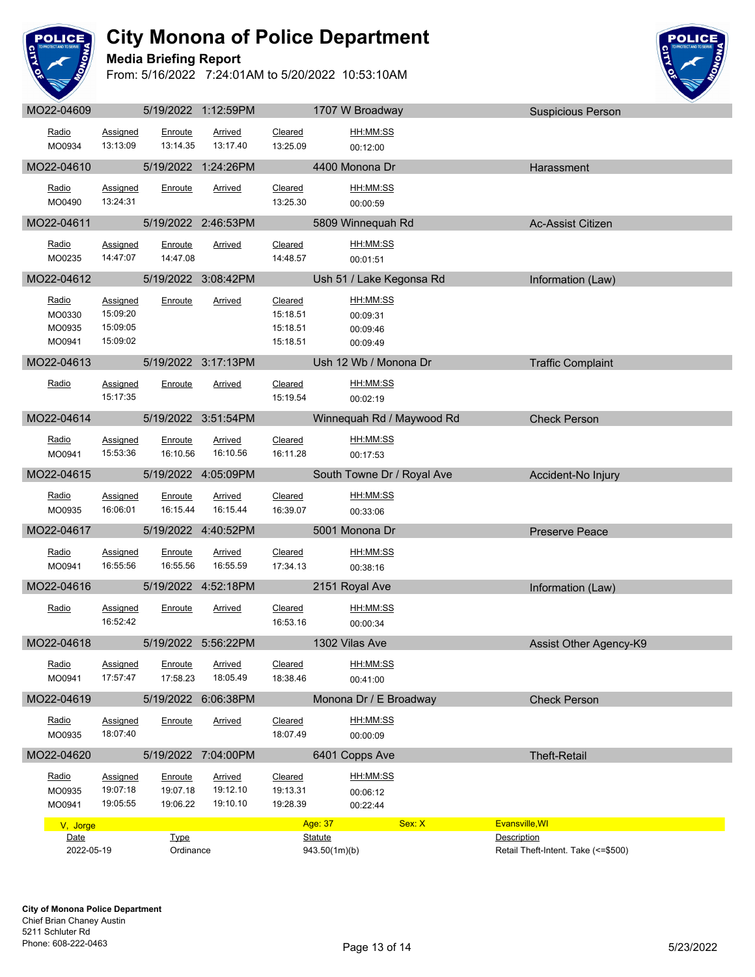

**Media Briefing Report**



| <b>IVIULL UTUUU</b>                 |                                              |                                 | $0.1972022$ $1.12.001$ $N1$            |                                             | TI VI IV DIVUUVUY                            | <b>OUSPICIOUS I GISUIT</b>                          |  |
|-------------------------------------|----------------------------------------------|---------------------------------|----------------------------------------|---------------------------------------------|----------------------------------------------|-----------------------------------------------------|--|
| Radio<br>MO0934                     | Assigned<br>13:13:09                         | Enroute<br>13:14.35             | Arrived<br>13:17.40                    | Cleared<br>13:25.09                         | HH:MM:SS<br>00:12:00                         |                                                     |  |
| MO22-04610                          |                                              |                                 | 5/19/2022 1:24:26PM                    |                                             | 4400 Monona Dr                               | Harassment                                          |  |
| Radio<br>MO0490                     | <b>Assigned</b><br>13:24:31                  | Enroute                         | Arrived                                | Cleared<br>13:25.30                         | HH:MM:SS<br>00:00:59                         |                                                     |  |
| MO22-04611                          |                                              |                                 | 5/19/2022 2:46:53PM                    |                                             | 5809 Winnequah Rd                            | <b>Ac-Assist Citizen</b>                            |  |
| Radio<br>MO0235                     | Assigned<br>14:47:07                         | Enroute<br>14:47.08             | Arrived                                | Cleared<br>14:48.57                         | HH:MM:SS<br>00:01:51                         |                                                     |  |
| MO22-04612                          |                                              |                                 | 5/19/2022 3:08:42PM                    |                                             | Ush 51 / Lake Kegonsa Rd                     | Information (Law)                                   |  |
| Radio<br>MO0330<br>MO0935<br>MO0941 | Assigned<br>15:09:20<br>15:09:05<br>15:09:02 | Enroute                         | Arrived                                | Cleared<br>15:18.51<br>15:18.51<br>15:18.51 | HH:MM:SS<br>00:09:31<br>00:09:46<br>00:09:49 |                                                     |  |
| MO22-04613                          |                                              |                                 | 5/19/2022 3:17:13PM                    |                                             | Ush 12 Wb / Monona Dr                        | <b>Traffic Complaint</b>                            |  |
| Radio                               | Assigned<br>15:17:35                         | Enroute                         | Arrived                                | Cleared<br>15:19.54                         | HH:MM:SS<br>00:02:19                         |                                                     |  |
| MO22-04614                          |                                              |                                 | 5/19/2022 3:51:54PM                    |                                             | Winnequah Rd / Maywood Rd                    | <b>Check Person</b>                                 |  |
| Radio<br>MO0941                     | <b>Assigned</b><br>15:53:36                  | Enroute<br>16:10.56             | Arrived<br>16:10.56                    | Cleared<br>16:11.28                         | HH:MM:SS<br>00:17:53                         |                                                     |  |
| MO22-04615                          |                                              |                                 | 5/19/2022 4:05:09PM                    |                                             | South Towne Dr / Royal Ave                   | Accident-No Injury                                  |  |
| Radio<br>MO0935                     | Assigned<br>16:06:01                         | Enroute<br>16:15.44             | <b>Arrived</b><br>16:15.44             | Cleared<br>16:39.07                         | HH:MM:SS<br>00:33:06                         |                                                     |  |
| MO22-04617                          |                                              |                                 | 5/19/2022 4:40:52PM                    |                                             | 5001 Monona Dr                               | <b>Preserve Peace</b>                               |  |
| Radio<br>MO0941                     | <b>Assigned</b><br>16:55:56                  | Enroute<br>16:55.56             | Arrived<br>16:55.59                    | Cleared<br>17:34.13                         | HH:MM:SS<br>00:38:16                         |                                                     |  |
| MO22-04616                          |                                              |                                 | 5/19/2022 4:52:18PM                    | <u>and</u> and the second second second     | 2151 Royal Ave                               | Information (Law)                                   |  |
| Radio                               | Assigned<br>16:52:42                         | Enroute                         | <b>Arrived</b>                         | Cleared<br>16:53.16                         | HH:MM:SS<br>00:00:34                         |                                                     |  |
| MO22-04618                          |                                              |                                 | 5/19/2022 5:56:22PM                    |                                             | <b>1302 Vilas Ave</b>                        | Assist Other Agency-K9                              |  |
| Radio<br>MO0941                     | Assigned<br>17:57:47                         | 17:58.23                        | Enroute Arrived<br>18:05.49            | Cleared<br>18:38.46                         | HH:MM:SS<br>00:41:00                         |                                                     |  |
| MO22-04619                          |                                              |                                 | 5/19/2022 6:06:38PM                    |                                             | Monona Dr / E Broadway                       | <b>Check Person</b>                                 |  |
| Radio<br>MO0935                     | Assigned<br>18:07:40                         | Enroute                         | Arrived                                | Cleared<br>18:07.49                         | HH:MM:SS<br>00:00:09                         |                                                     |  |
| MO22-04620                          |                                              |                                 | 5/19/2022 7:04:00PM                    |                                             | 6401 Copps Ave                               | <b>Theft-Retail</b>                                 |  |
| Radio<br>MO0935<br>MO0941           | Assigned<br>19:07:18<br>19:05:55             | Enroute<br>19:07.18<br>19:06.22 | <b>Arrived</b><br>19:12.10<br>19:10.10 | Cleared<br>19:13.31<br>19:28.39             | HH:MM:SS<br>00:06:12<br>00:22:44             |                                                     |  |
| V, Jorge                            |                                              |                                 |                                        |                                             | Sex: X<br>Age: 37                            | Evansville, WI                                      |  |
| Date<br>2022-05-19                  |                                              | <b>Type</b><br>Ordinance        |                                        |                                             | <b>Statute</b><br>943.50(1m)(b)              | Description<br>Retail Theft-Intent. Take (<= \$500) |  |